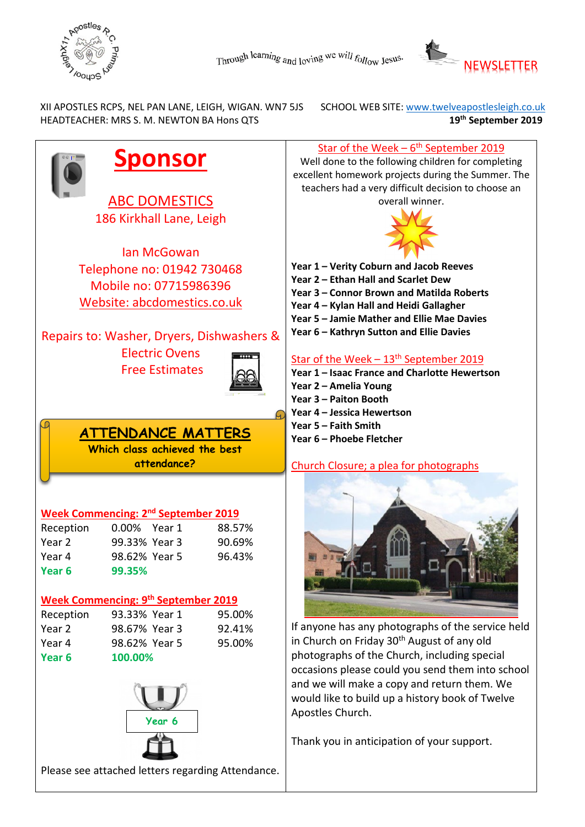



 XII APOSTLES RCPS, NEL PAN LANE, LEIGH, WIGAN. WN7 5JS SCHOOL WEB SITE: [www.twelveapostlesleigh.co.uk](http://www.twelveapostlesleigh.co.uk/)  HEADTEACHER: MRS S. M. NEWTON BA Hons QTS **19th September 2019** 

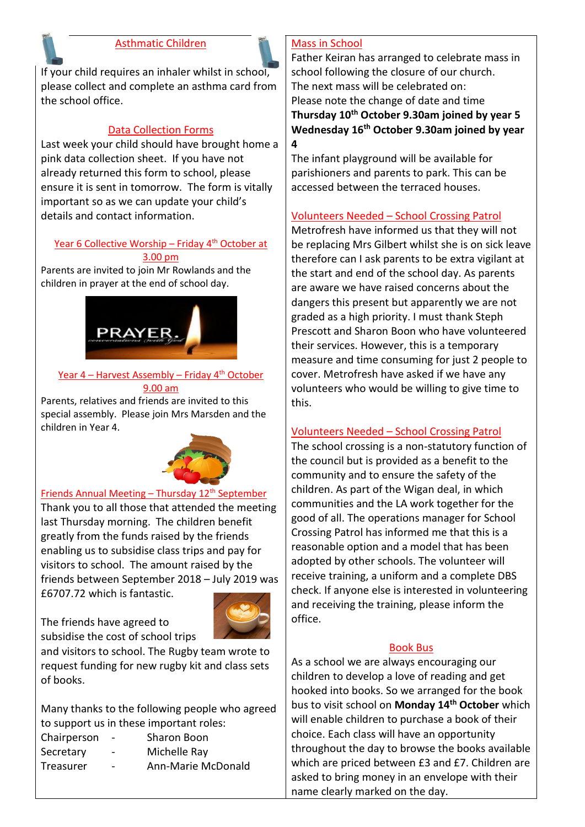#### Asthmatic Children



If your child requires an inhaler whilst in school, please collect and complete an asthma card from the school office.

#### Data Collection Forms

Last week your child should have brought home a pink data collection sheet. If you have not already returned this form to school, please ensure it is sent in tomorrow. The form is vitally important so as we can update your child's details and contact information.

# Year 6 Collective Worship - Friday 4<sup>th</sup> October at

3.00 pm

Parents are invited to join Mr Rowlands and the children in prayer at the end of school day.



#### Year  $4$  – Harvest Assembly – Friday  $4<sup>th</sup>$  October 9.00 am

Parents, relatives and friends are invited to this special assembly. Please join Mrs Marsden and the children in Year 4.



#### Friends Annual Meeting – Thursday 12<sup>th</sup> September Thank you to all those that attended the meeting last Thursday morning. The children benefit greatly from the funds raised by the friends enabling us to subsidise class trips and pay for visitors to school. The amount raised by the friends between September 2018 – July 2019 was £6707.72 which is fantastic.



The friends have agreed to

subsidise the cost of school trips and visitors to school. The Rugby team wrote to request funding for new rugby kit and class sets of books.

Many thanks to the following people who agreed to support us in these important roles:

| Chairperson | $\blacksquare$           | Sharon Boon        |
|-------------|--------------------------|--------------------|
| Secretary   | -                        | Michelle Ray       |
| Treasurer   | $\overline{\phantom{0}}$ | Ann-Marie McDonald |

#### Mass in School

Father Keiran has arranged to celebrate mass in school following the closure of our church. The next mass will be celebrated on: Please note the change of date and time **Thursday 10th October 9.30am joined by year 5 Wednesday 16th October 9.30am joined by year 4** 

The infant playground will be available for parishioners and parents to park. This can be accessed between the terraced houses.

#### Volunteers Needed – School Crossing Patrol

Metrofresh have informed us that they will not be replacing Mrs Gilbert whilst she is on sick leave therefore can I ask parents to be extra vigilant at the start and end of the school day. As parents are aware we have raised concerns about the dangers this present but apparently we are not graded as a high priority. I must thank Steph Prescott and Sharon Boon who have volunteered their services. However, this is a temporary measure and time consuming for just 2 people to cover. Metrofresh have asked if we have any volunteers who would be willing to give time to this.

## Volunteers Needed – School Crossing Patrol

The school crossing is a non-statutory function of the council but is provided as a benefit to the community and to ensure the safety of the children. As part of the Wigan deal, in which communities and the LA work together for the good of all. The operations manager for School Crossing Patrol has informed me that this is a reasonable option and a model that has been adopted by other schools. The volunteer will receive training, a uniform and a complete DBS check. If anyone else is interested in volunteering and receiving the training, please inform the office.

#### Book Bus

As a school we are always encouraging our children to develop a love of reading and get hooked into books. So we arranged for the book bus to visit school on **Monday 14th October** which will enable children to purchase a book of their choice. Each class will have an opportunity throughout the day to browse the books available which are priced between £3 and £7. Children are asked to bring money in an envelope with their name clearly marked on the day.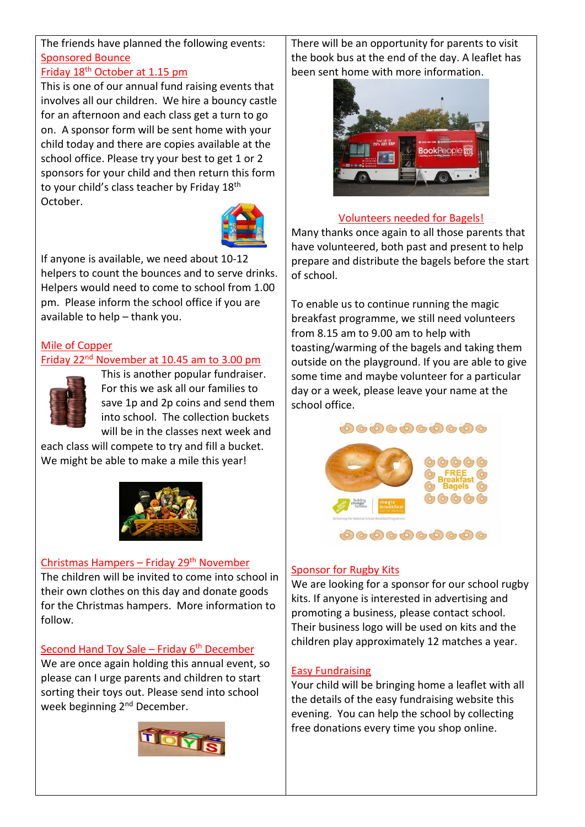# The friends have planned the following events: Sponsored Bounce

#### Friday 18<sup>th</sup> October at 1.15 pm

This is one of our annual fund raising events that involves all our children. We hire a bouncy castle for an afternoon and each class get a turn to go on. A sponsor form will be sent home with your child today and there are copies available at the school office. Please try your best to get 1 or 2 sponsors for your child and then return this form to your child's class teacher by Friday 18<sup>th</sup> October.



If anyone is available, we need about 10-12 helpers to count the bounces and to serve drinks. Helpers would need to come to school from 1.00 pm. Please inform the school office if you are available to help – thank you.

# Mile of Copper

## Friday 22nd November at 10.45 am to 3.00 pm



This is another popular fundraiser. For this we ask all our families to save 1p and 2p coins and send them into school. The collection buckets will be in the classes next week and

each class will compete to try and fill a bucket. We might be able to make a mile this year!



## Christmas Hampers – Friday 29th November

The children will be invited to come into school in their own clothes on this day and donate goods for the Christmas hampers. More information to follow.

## Second Hand Toy Sale – Friday  $6<sup>th</sup>$  December

We are once again holding this annual event, so please can I urge parents and children to start sorting their toys out. Please send into school week beginning 2<sup>nd</sup> December.



There will be an opportunity for parents to visit the book bus at the end of the day. A leaflet has been se[nt home with more information.](https://www.google.co.uk/url?sa=i&rct=j&q=&esrc=s&source=images&cd=&ved=&url=https://www.elmwoodps.co.uk/gallery/?pid%3D3%26gcatid%3D1%26albumid%3D18&psig=AOvVaw20stfJKZ3mGlaLlBD72EvX&ust=1568802565477997)



# Volunteers needed for Bagels!

Many thanks once again to all those parents that have volunteered, both past and present to help prepare and distribute the bagels before the start of school.

To enable us to continue running the magic breakfast programme, we still need volunteers from 8.15 am to 9.00 am to help with toasting/warming of the bagels and taking them outside on the playground. If you are able to give some time and maybe volunteer for a particular day or a week, please leave your name at the schoo[l office.](https://www.google.co.uk/url?sa=i&rct=j&q=&esrc=s&source=images&cd=&ved=2ahUKEwjCqde109fkAhVOBWMBHTRWDYAQjRx6BAgBEAQ&url=https://www.christchurch-pellon.calderdale.sch.uk/parentscarers/breakfast-club/bagel-breakfast&psig=AOvVaw1N8gmpWBVx-tIj5ya6Rfbk&ust=1568802641537027)

## 0000000000



## Sponsor for Rugby Kits

We are looking for a sponsor for our school rugby kits. If anyone is interested in advertising and promoting a business, please contact school. Their business logo will be used on kits and the children play approximately 12 matches a year.

## Easy Fundraising

Your child will be bringing home a leaflet with all the details of the easy fundraising website this evening. You can help the school by collecting free donations every time you shop online.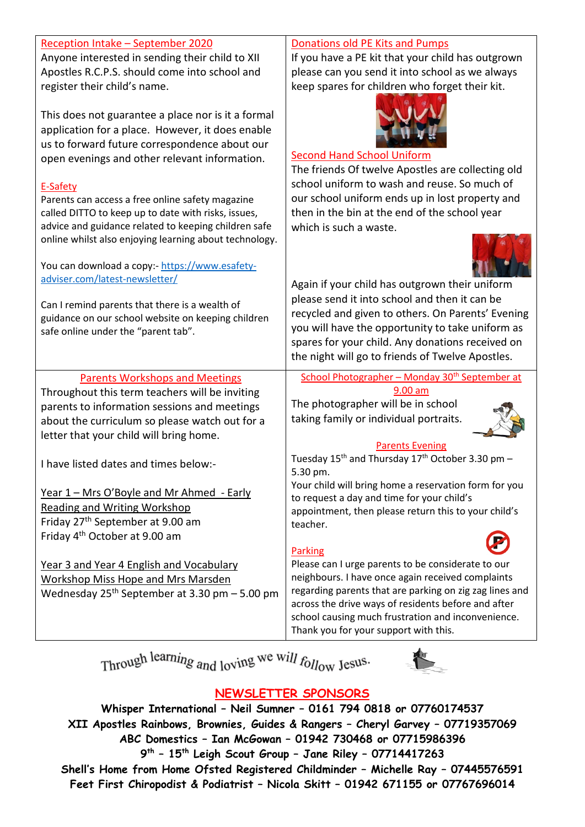| Reception Intake - September 2020<br>Anyone interested in sending their child to XII<br>Apostles R.C.P.S. should come into school and<br>register their child's name.<br>This does not guarantee a place nor is it a formal<br>application for a place. However, it does enable<br>us to forward future correspondence about our<br>open evenings and other relevant information.<br>E-Safety<br>Parents can access a free online safety magazine<br>called DITTO to keep up to date with risks, issues,<br>advice and guidance related to keeping children safe<br>online whilst also enjoying learning about technology.<br>You can download a copy:- https://www.esafety-<br>adviser.com/latest-newsletter/<br>Can I remind parents that there is a wealth of<br>guidance on our school website on keeping children<br>safe online under the "parent tab". | Donations old PE Kits and Pumps<br>If you have a PE kit that your child has outgrown<br>please can you send it into school as we always<br>keep spares for children who forget their kit.<br><b>Second Hand School Uniform</b><br>The friends Of twelve Apostles are collecting old<br>school uniform to wash and reuse. So much of<br>our school uniform ends up in lost property and<br>then in the bin at the end of the school year<br>which is such a waste.<br>Again if your child has outgrown their uniform<br>please send it into school and then it can be<br>recycled and given to others. On Parents' Evening<br>you will have the opportunity to take uniform as<br>spares for your child. Any donations received on<br>the night will go to friends of Twelve Apostles. |
|---------------------------------------------------------------------------------------------------------------------------------------------------------------------------------------------------------------------------------------------------------------------------------------------------------------------------------------------------------------------------------------------------------------------------------------------------------------------------------------------------------------------------------------------------------------------------------------------------------------------------------------------------------------------------------------------------------------------------------------------------------------------------------------------------------------------------------------------------------------|---------------------------------------------------------------------------------------------------------------------------------------------------------------------------------------------------------------------------------------------------------------------------------------------------------------------------------------------------------------------------------------------------------------------------------------------------------------------------------------------------------------------------------------------------------------------------------------------------------------------------------------------------------------------------------------------------------------------------------------------------------------------------------------|
| <b>Parents Workshops and Meetings</b><br>Throughout this term teachers will be inviting<br>parents to information sessions and meetings<br>about the curriculum so please watch out for a<br>letter that your child will bring home.                                                                                                                                                                                                                                                                                                                                                                                                                                                                                                                                                                                                                          | School Photographer - Monday 30 <sup>th</sup> September at<br>9.00 am<br>The photographer will be in school<br>taking family or individual portraits.<br><b>Parents Evening</b>                                                                                                                                                                                                                                                                                                                                                                                                                                                                                                                                                                                                       |
| I have listed dates and times below:-                                                                                                                                                                                                                                                                                                                                                                                                                                                                                                                                                                                                                                                                                                                                                                                                                         | Tuesday 15 <sup>th</sup> and Thursday 17 <sup>th</sup> October 3.30 pm -<br>5.30 pm.                                                                                                                                                                                                                                                                                                                                                                                                                                                                                                                                                                                                                                                                                                  |
| <u>Year 1 – Mrs O'Boyle and Mr Ahmed - Early</u><br>Reading and Writing Workshop<br>Friday 27 <sup>th</sup> September at 9.00 am<br>Friday 4 <sup>th</sup> October at 9.00 am                                                                                                                                                                                                                                                                                                                                                                                                                                                                                                                                                                                                                                                                                 | Your child will bring home a reservation form for you<br>to request a day and time for your child's<br>appointment, then please return this to your child's<br>teacher.<br><b>Parking</b>                                                                                                                                                                                                                                                                                                                                                                                                                                                                                                                                                                                             |
| Year 3 and Year 4 English and Vocabulary<br>Workshop Miss Hope and Mrs Marsden<br>Wednesday $25th$ September at 3.30 pm $-5.00$ pm                                                                                                                                                                                                                                                                                                                                                                                                                                                                                                                                                                                                                                                                                                                            | Please can I urge parents to be considerate to our<br>neighbours. I have once again received complaints<br>regarding parents that are parking on zig zag lines and<br>across the drive ways of residents before and after<br>school causing much frustration and inconvenience.<br>Thank you for your support with this.                                                                                                                                                                                                                                                                                                                                                                                                                                                              |

Through learning and loving we will follow Jesus.



# **NEWSLETTER SPONSORS**

**Whisper International – Neil Sumner – 0161 794 0818 or 07760174537 XII Apostles Rainbows, Brownies, Guides & Rangers – Cheryl Garvey – 07719357069 ABC Domestics – Ian McGowan – 01942 730468 or 07715986396 9th – 15th Leigh Scout Group – Jane Riley – 07714417263 Shell's Home from Home Ofsted Registered Childminder – Michelle Ray – 07445576591 Feet First Chiropodist & Podiatrist – Nicola Skitt – 01942 671155 or 07767696014**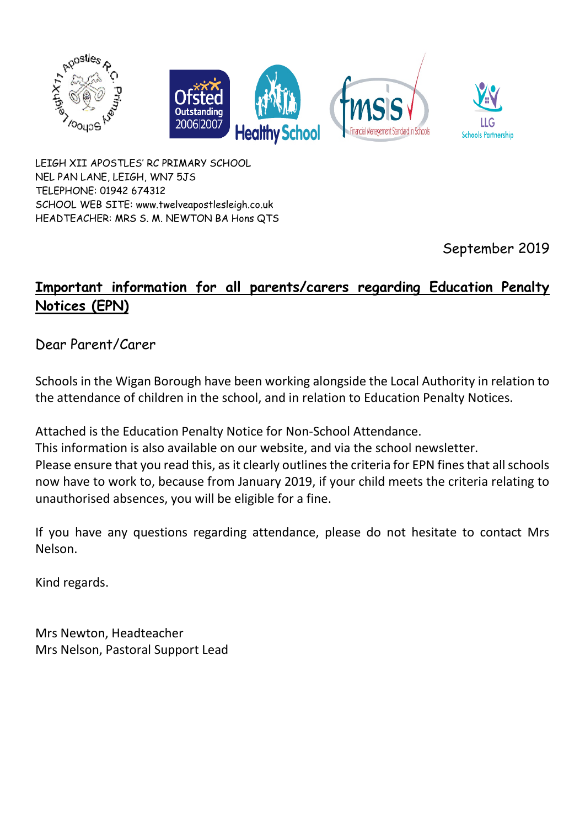

LEIGH XII APOSTLES' RC PRIMARY SCHOOL NEL PAN LANE, LEIGH, WN7 5JS TELEPHONE: 01942 674312 SCHOOL WEB SITE: www.twelveapostlesleigh.co.uk HEADTEACHER: MRS S. M. NEWTON BA Hons QTS

September 2019

# **Important information for all parents/carers regarding Education Penalty Notices (EPN)**

Dear Parent/Carer

Schools in the Wigan Borough have been working alongside the Local Authority in relation to the attendance of children in the school, and in relation to Education Penalty Notices.

Attached is the Education Penalty Notice for Non-School Attendance.

This information is also available on our website, and via the school newsletter. Please ensure that you read this, as it clearly outlines the criteria for EPN fines that all schools now have to work to, because from January 2019, if your child meets the criteria relating to unauthorised absences, you will be eligible for a fine.

If you have any questions regarding attendance, please do not hesitate to contact Mrs Nelson.

Kind regards.

Mrs Newton, Headteacher Mrs Nelson, Pastoral Support Lead